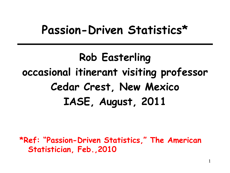#### **Passion-Driven Statistics\***

**Rob Easterling occasional itinerant visiting professor Cedar Crest, New Mexico IASE, August, 2011**

**\*Ref: "Passion-Driven Statistics," The American Statistician, Feb.,2010**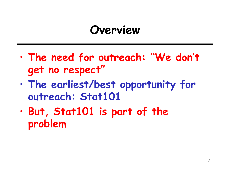#### **Overview**

- **The need for outreach: "We don"t get no respect"**
- **The earliest/best opportunity for outreach: Stat101**
- **But, Stat101 is part of the problem**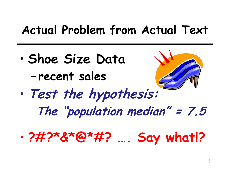## **Actual Problem from Actual Text**

• **Shoe Size Data** – **recent sales**



• **Test the hypothesis: The "population median" = 7.5**

• **?#?\*&\*@\*#? …. Say what!?**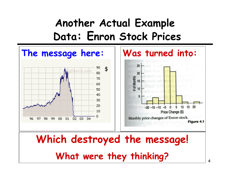## **Another Actual Example Data: Enron Stock Prices**



## **Which destroyed the message! What were they thinking?**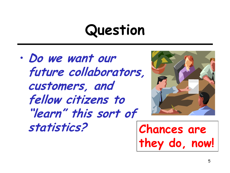# **Question**

• **Do we want our future collaborators, customers, and fellow citizens to "learn" this sort of statistics? Chances are** 



**they do, now!**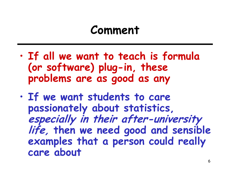## **Comment**

- **If all we want to teach is formula (or software) plug-in, these problems are as good as any**
- **If we want students to care passionately about statistics, especially in their after-university life, then we need good and sensible examples that a person could really care about**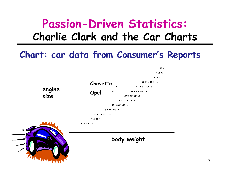### **Passion-Driven Statistics: Charlie Clark and the Car Charts**

#### **Chart: car data from Consumer"s Reports**

**engine size**

**x x x x x x x x x x x x x x xx xx x x xxx xx xx x xxx xx xx x xx xxx x x x xxx xx x x xxx xx x x x x x x x x x x x x xx x Chevette Opel**

**x x**

**body weight**

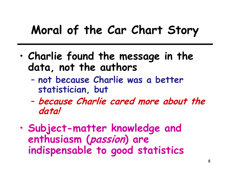## **Moral of the Car Chart Story**

- **Charlie found the message in the data, not the authors**
	- **not because Charlie was a better statistician, but**
	- **because Charlie cared more about the data!**
- **Subject-matter knowledge and enthusiasm (passion) are indispensable to good statistics**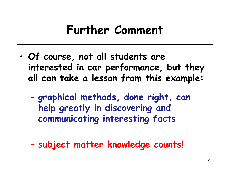## **Further Comment**

- **Of course, not all students are interested in car performance, but they all can take a lesson from this example:**
	- **graphical methods, done right, can help greatly in discovering and communicating interesting facts**
	- **subject matter knowledge counts!**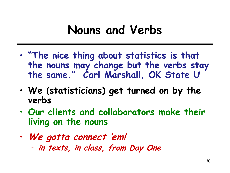## **Nouns and Verbs**

- **"The nice thing about statistics is that the nouns may change but the verbs stay the same." Carl Marshall, OK State U**
- **We (statisticians) get turned on by the verbs**
- **Our clients and collaborators make their living on the nouns**
- **We gotta connect "em!** – **in texts, in class, from Day One**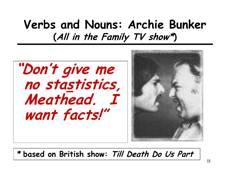#### **Verbs and Nouns: Archie Bunker (All in the Family TV show\*)**

**"Don"t give me no stastistics, Meathead. I want facts!"**

**\* based on British show: Till Death Do Us Part**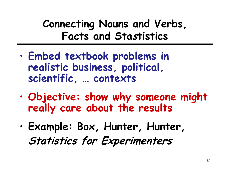#### **Connecting Nouns and Verbs, Facts and Stastistics**

- **Embed textbook problems in realistic business, political, scientific, … contexts**
- **Objective: show why someone might really care about the results**
- **Example: Box, Hunter, Hunter, Statistics for Experimenters**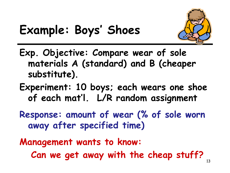

# **Example: Boys" Shoes**

**Exp. Objective: Compare wear of sole materials A (standard) and B (cheaper substitute).**

**Experiment: 10 boys; each wears one shoe of each mat"l. L/R random assignment**

**Response: amount of wear (% of sole worn away after specified time)**

**Management wants to know:** 

**Can we get away with the cheap stuff?**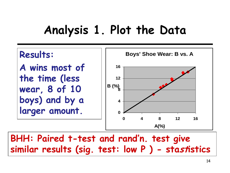## **Analysis 1. Plot the Data**



**BHH: Paired t-test and rand"n. test give similar results (sig. test: low P ) - stastistics**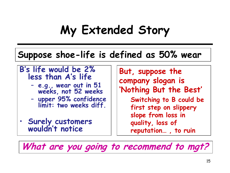## **My Extended Story**

#### **Suppose shoe-life is defined as 50% wear**

#### **B"s life would be 2% less than A"s life**

- **e.g., wear out in 51 weeks, not 52 weeks**
- **upper 95% confidence limit: two weeks diff.**
- **Surely customers wouldn"t notice**

**But, suppose the company slogan is "Nothing But the Best" Switching to B could be first step on slippery slope from loss in quality, loss of reputation… , to ruin**

**What are you going to recommend to mgt?**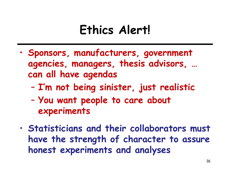## **Ethics Alert!**

- **Sponsors, manufacturers, government agencies, managers, thesis advisors, … can all have agendas**
	- **I"m not being sinister, just realistic**
	- **You want people to care about experiments**
- **Statisticians and their collaborators must have the strength of character to assure honest experiments and analyses**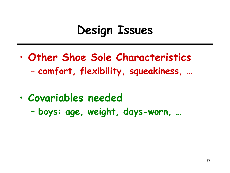## **Design Issues**

- **Other Shoe Sole Characteristics** – **comfort, flexibility, squeakiness, …**
- **Covariables needed**
	- **boys: age, weight, days-worn, …**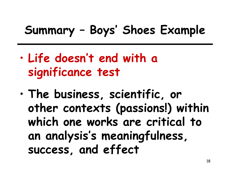# **Summary – Boys" Shoes Example**

- **Life doesn"t end with a significance test**
- **The business, scientific, or other contexts (passions!) within which one works are critical to an analysis"s meaningfulness, success, and effect**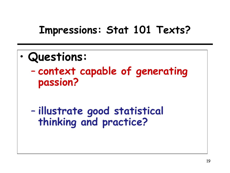#### **Impressions: Stat 101 Texts?**

- **Questions:**
	- **context capable of generating passion?**
	- **illustrate good statistical thinking and practice?**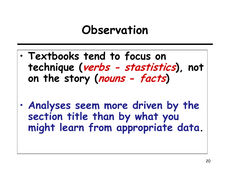## **Observation**

- **Textbooks tend to focus on technique (verbs - stastistics), not on the story (nouns - facts)**
- **Analyses seem more driven by the section title than by what you might learn from appropriate data.**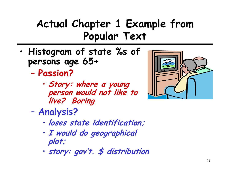## **Actual Chapter 1 Example from Popular Text**

- **Histogram of state %s of persons age 65+**
	- **Passion?** 
		- **Story: where a young person would not like to live? Boring**



- **Analysis?**
	- **loses state identification;**
	- **I would do geographical plot;**
	- **story: gov"t. \$ distribution**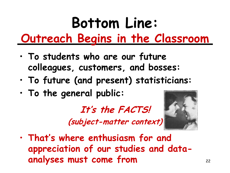# **Bottom Line: Outreach Begins in the Classroom**

- **To students who are our future colleagues, customers, and bosses:**
- **To future (and present) statisticians:**
- **To the general public:**

**It"s the FACTS!**

**(subject-matter context)**



• **That"s where enthusiasm for and appreciation of our studies and dataanalyses must come from**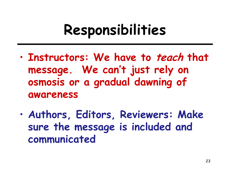# **Responsibilities**

- **Instructors: We have to teach that message. We can"t just rely on osmosis or a gradual dawning of awareness**
- **Authors, Editors, Reviewers: Make sure the message is included and communicated**